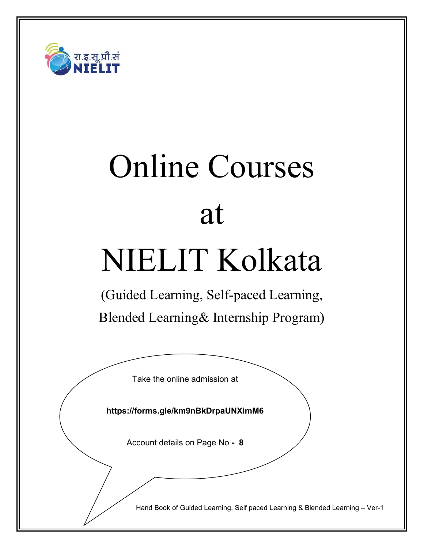

# Online Courses at

# NIELIT Kolkata

(Guided Learning, Self-paced Learning, Blended Learning& Internship Program)

Take the online admission at

**https://forms.gle/km9nBkDrpaUNXimM6**

Account details on Page No **- 8**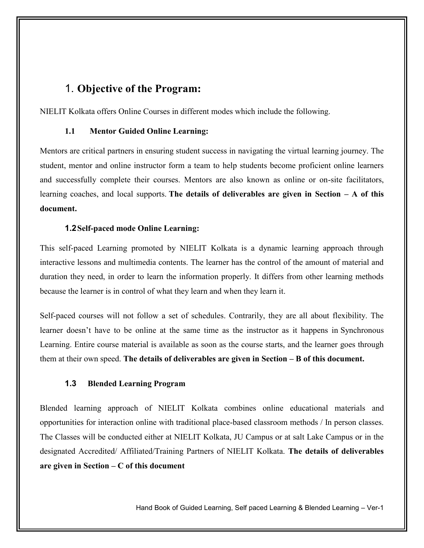#### 1. **Objective of the Program:**

NIELIT Kolkata offers Online Courses in different modes which include the following.

#### **1.1 Mentor Guided Online Learning:**

Mentors are critical partners in ensuring student success in navigating the virtual learning journey. The student, mentor and online instructor form a team to help students become proficient online learners and successfully complete their courses. Mentors are also known as online or on-site facilitators, learning coaches, and local supports. **The details of deliverables are given in Section – A of this document.**

#### **1.2Self-paced mode Online Learning:**

This self-paced Learning promoted by NIELIT Kolkata is a dynamic learning approach through interactive lessons and multimedia contents. The learner has the control of the amount of material and duration they need, in order to learn the information properly. It differs from other learning methods because the learner is in control of what they learn and when they learn it.

Self-paced courses will not follow a set of schedules. Contrarily, they are all about flexibility. The learner doesn't have to be online at the same time as the instructor as it happens in Synchronous Learning. Entire course material is available as soon as the course starts, and the learner goes through them at their own speed. **The details of deliverables are given in Section – B of this document.**

#### **1.3 Blended Learning Program**

Blended learning approach of NIELIT Kolkata combines online educational materials and opportunities for interaction online with traditional place-based classroom methods / In person classes. The Classes will be conducted either at NIELIT Kolkata, JU Campus or at salt Lake Campus or in the designated Accredited/ Affiliated/Training Partners of NIELIT Kolkata. **The details of deliverables are given in Section – C of this document**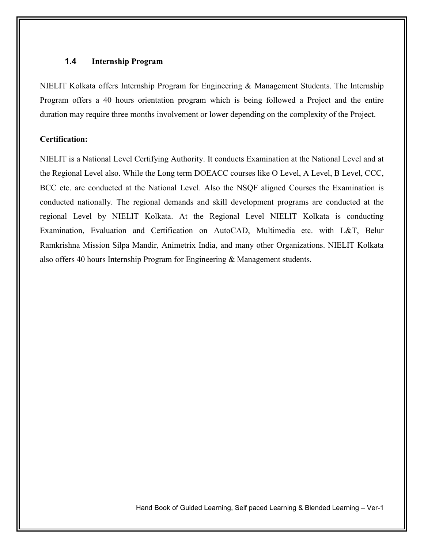#### **1.4 Internship Program**

NIELIT Kolkata offers Internship Program for Engineering  $\&$  Management Students. The Internship Program offers a 40 hours orientation program which is being followed a Project and the entire duration may require three months involvement or lower depending on the complexity of the Project.

#### **Certification:**

NIELIT is a National Level Certifying Authority. It conducts Examination at the National Level and at the Regional Level also. While the Long term DOEACC courses like O Level, A Level, B Level, CCC, BCC etc. are conducted at the National Level. Also the NSQF aligned Courses the Examination is conducted nationally. The regional demands and skill development programs are conducted at the regional Level by NIELIT Kolkata. At the Regional Level NIELIT Kolkata is conducting Examination, Evaluation and Certification on AutoCAD, Multimedia etc. with L&T, Belur Ramkrishna Mission Silpa Mandir, Animetrix India, and many other Organizations. NIELIT Kolkata also offers 40 hours Internship Program for Engineering & Management students.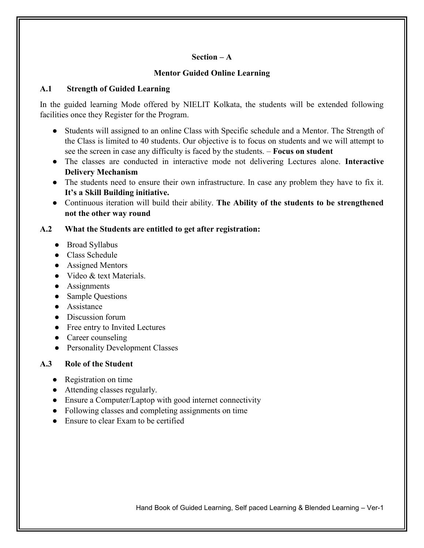#### **Section – A**

#### **Mentor Guided Online Learning**

#### **A.1 Strength of Guided Learning**

In the guided learning Mode offered by NIELIT Kolkata, the students will be extended following facilities once they Register for the Program.

- Students will assigned to an online Class with Specific schedule and a Mentor. The Strength of the Class is limited to 40 students. Our objective is to focus on students and we will attempt to see the screen in case any difficulty is faced by the students. – **Focus on student**
- The classes are conducted in interactive mode not delivering Lectures alone. **Interactive Delivery Mechanism**
- The students need to ensure their own infrastructure. In case any problem they have to fix it. **It's a Skill Building initiative.**
- Continuous iteration will build their ability. **The Ability of the students to be strengthened not the other way round**

#### **A.2 What the Students are entitled to get after registration:**

- Broad Syllabus
- Class Schedule
- Assigned Mentors
- Video & text Materials.
- Assignments
- Sample Questions
- Assistance
- Discussion forum
- Free entry to Invited Lectures
- Career counseling
- Personality Development Classes

#### **A.3 Role of the Student**

- Registration on time
- Attending classes regularly.
- Ensure a Computer/Laptop with good internet connectivity
- Following classes and completing assignments on time
- Ensure to clear Exam to be certified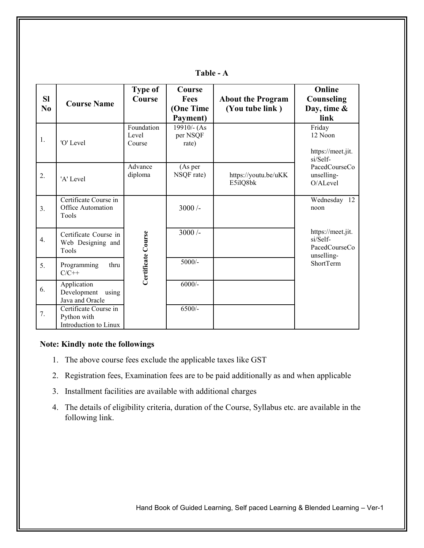| <b>SI</b><br>N <sub>0</sub> | <b>Course Name</b>                                            | <b>Type of</b><br>Course      | <b>Course</b><br><b>Fees</b><br>(One Time<br>Payment) | <b>About the Program</b><br>(You tube link) | Online<br>Counseling<br>Day, time &<br>link                  |
|-----------------------------|---------------------------------------------------------------|-------------------------------|-------------------------------------------------------|---------------------------------------------|--------------------------------------------------------------|
| 1.                          | 'O' Level                                                     | Foundation<br>Level<br>Course | $19910/-(As$<br>per NSQF<br>rate)                     |                                             | Friday<br>12 Noon<br>https://meet.jit.<br>si/Self-           |
| 2.                          | 'A' Level                                                     | Advance<br>diploma            | (As per<br>NSQF rate)                                 | https://youtu.be/uKK<br>E5ilQ8bk            | PacedCourseCo<br>unselling-<br>O/ALevel                      |
| $\overline{3}$ .            | Certificate Course in<br><b>Office Automation</b><br>Tools    |                               | $3000/-$                                              |                                             | Wednesday 12<br>noon                                         |
| 4.                          | Certificate Course in<br>Web Designing and<br>Tools           | Certificate Course            | $3000/-$                                              |                                             | https://meet.jit.<br>si/Self-<br>PacedCourseCo<br>unselling- |
| 5.                          | Programming<br>thru<br>$C/C++$                                |                               | $5000/-$                                              |                                             | <b>ShortTerm</b>                                             |
| 6.                          | Application<br>Development<br>using<br>Java and Oracle        |                               | $6000/-$                                              |                                             |                                                              |
| 7.                          | Certificate Course in<br>Python with<br>Introduction to Linux |                               | $6500/-$                                              |                                             |                                                              |

**Table - A**

#### **Note: Kindly note the followings**

- 1. The above course fees exclude the applicable taxes like GST
- 2. Registration fees, Examination fees are to be paid additionally as and when applicable
- 3. Installment facilities are available with additional charges
- 4. The details of eligibility criteria, duration of the Course, Syllabus etc. are available in the following link.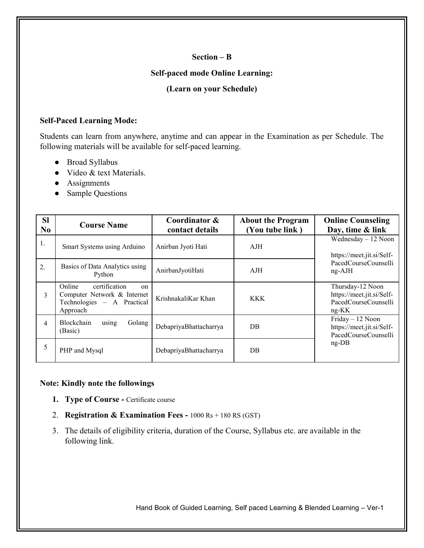#### **Section – B**

#### **Self-paced mode Online Learning:**

#### **(Learn on your Schedule)**

#### **Self-Paced Learning Mode:**

Students can learn from anywhere, anytime and can appear in the Examination as per Schedule. The following materials will be available for self-paced learning.

- Broad Syllabus
- Video & text Materials.
- Assignments
- Sample Questions

| <b>SI</b><br>N <sub>0</sub> | <b>Course Name</b>                                                                                     | Coordinator &<br>contact details | <b>About the Program</b><br>(You tube link) | <b>Online Counseling</b><br>Day, time & link                                          |  |
|-----------------------------|--------------------------------------------------------------------------------------------------------|----------------------------------|---------------------------------------------|---------------------------------------------------------------------------------------|--|
| 1.                          | Smart Systems using Arduino                                                                            | Anirban Jyoti Hati               | AJH                                         | Wednesday $-12$ Noon<br>https://meet.jit.si/Self-<br>PacedCourseCounselli<br>$ng-AJH$ |  |
| 2.                          | Basics of Data Analytics using<br>Python                                                               | AnirbanJyotiHati                 | AJH                                         |                                                                                       |  |
| 3                           | Online<br>certification<br>on<br>Computer Network & Internet<br>Technologies - A Practical<br>Approach | KrishnakaliKar Khan              | <b>KKK</b>                                  | Thursday-12 Noon<br>https://meet.jit.si/Self-<br>PacedCourseCounselli<br>$ng-KK$      |  |
| 4                           | <b>Blockchain</b><br>Golang<br>using<br>(Basic)                                                        | DebapriyaBhattacharrya           | DB                                          | Friday - 12 Noon<br>https://meet.jit.si/Self-<br>PacedCourseCounselli<br>$ng$ -DB     |  |
| 5                           | PHP and Mysql                                                                                          | DebapriyaBhattacharrya           | DB                                          |                                                                                       |  |

#### **Note: Kindly note the followings**

- **1. Type of Course -** Certificate course
- 2. **Registration & Examination Fees -** 1000 Rs + 180 RS (GST)
- 3. The details of eligibility criteria, duration of the Course, Syllabus etc. are available in the following link.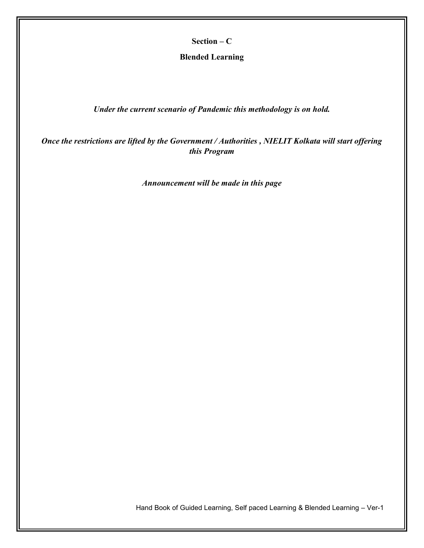**Section – C**

**Blended Learning** 

*Under the current scenario of Pandemic this methodology is on hold.*

*Once the restrictions are lifted by the Government / Authorities , NIELIT Kolkata will start offering this Program*

*Announcement will be made in this page*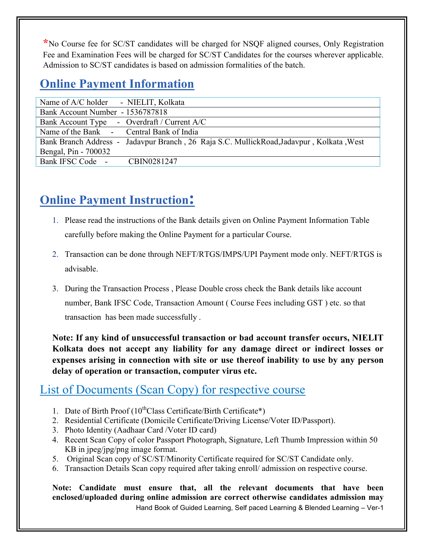**\***No Course fee for SC/ST candidates will be charged for NSQF aligned courses, Only Registration Fee and Examination Fees will be charged for SC/ST Candidates for the courses wherever applicable. Admission to SC/ST candidates is based on admission formalities of the batch.

# **Online Payment Information**

| Name of A/C holder - NIELIT, Kolkata                                                     |
|------------------------------------------------------------------------------------------|
| Bank Account Number - 1536787818                                                         |
| Bank Account Type - Overdraft / Current A/C                                              |
| Name of the Bank - Central Bank of India                                                 |
| Bank Branch Address - Jadavpur Branch, 26 Raja S.C. MullickRoad, Jadavpur, Kolkata, West |
| Bengal, Pin - 700032                                                                     |
| Bank IFSC Code -<br>CBIN0281247                                                          |
|                                                                                          |

# **Online Payment Instruction:**

- 1. Please read the instructions of the Bank details given on Online Payment Information Table carefully before making the Online Payment for a particular Course.
- 2. Transaction can be done through NEFT/RTGS/IMPS/UPI Payment mode only. NEFT/RTGS is advisable.
- 3. During the Transaction Process , Please Double cross check the Bank details like account number, Bank IFSC Code, Transaction Amount ( Course Fees including GST ) etc. so that transaction has been made successfully .

**Note: If any kind of unsuccessful transaction or bad account transfer occurs, NIELIT Kolkata does not accept any liability for any damage direct or indirect losses or expenses arising in connection with site or use thereof inability to use by any person delay of operation or transaction, computer virus etc.**

### List of Documents (Scan Copy) for respective course

- 1. Date of Birth Proof  $(10^{th}$ Class Certificate/Birth Certificate\*)
- 2. Residential Certificate (Domicile Certificate/Driving License/Voter ID/Passport).
- 3. Photo Identity (Aadhaar Card /Voter ID card)
- 4. Recent Scan Copy of color Passport Photograph, Signature, Left Thumb Impression within 50 KB in jpeg/jpg/png image format.
- 5. Original Scan copy of SC/ST/Minority Certificate required for SC/ST Candidate only.
- 6. Transaction Details Scan copy required after taking enroll/ admission on respective course.

Hand Book of Guided Learning, Self paced Learning & Blended Learning – Ver-1 **Note: Candidate must ensure that, all the relevant documents that have been enclosed/uploaded during online admission are correct otherwise candidates admission may**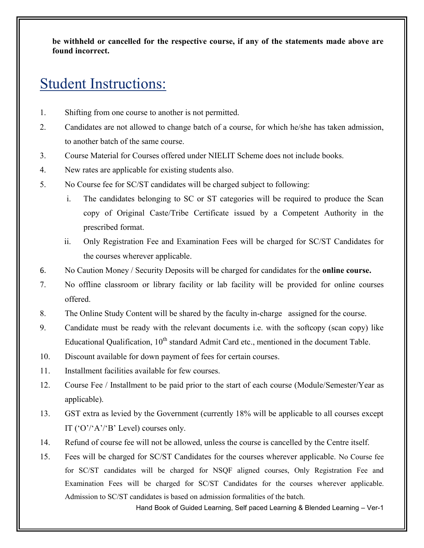**be withheld or cancelled for the respective course, if any of the statements made above are found incorrect.**

# Student Instructions:

- 1. Shifting from one course to another is not permitted.
- 2. Candidates are not allowed to change batch of a course, for which he/she has taken admission, to another batch of the same course.
- 3. Course Material for Courses offered under NIELIT Scheme does not include books.
- 4. New rates are applicable for existing students also.
- 5. No Course fee for SC/ST candidates will be charged subject to following:
	- i. The candidates belonging to SC or ST categories will be required to produce the Scan copy of Original Caste/Tribe Certificate issued by a Competent Authority in the prescribed format.
	- ii. Only Registration Fee and Examination Fees will be charged for SC/ST Candidates for the courses wherever applicable.
- 6. No Caution Money / Security Deposits will be charged for candidates for the **online course.**
- 7. No offline classroom or library facility or lab facility will be provided for online courses offered.
- 8. The Online Study Content will be shared by the faculty in-charge assigned for the course.
- 9. Candidate must be ready with the relevant documents i.e. with the softcopy (scan copy) like Educational Qualification, 10<sup>th</sup> standard Admit Card etc., mentioned in the document Table.
- 10. Discount available for down payment of fees for certain courses.
- 11. Installment facilities available for few courses.
- 12. Course Fee / Installment to be paid prior to the start of each course (Module/Semester/Year as applicable).
- 13. GST extra as levied by the Government (currently 18% will be applicable to all courses except IT ( $'O'/A'/B'$  Level) courses only.
- 14. Refund of course fee will not be allowed, unless the course is cancelled by the Centre itself.
- 15. Fees will be charged for SC/ST Candidates for the courses wherever applicable. No Course fee for SC/ST candidates will be charged for NSQF aligned courses, Only Registration Fee and Examination Fees will be charged for SC/ST Candidates for the courses wherever applicable. Admission to SC/ST candidates is based on admission formalities of the batch.